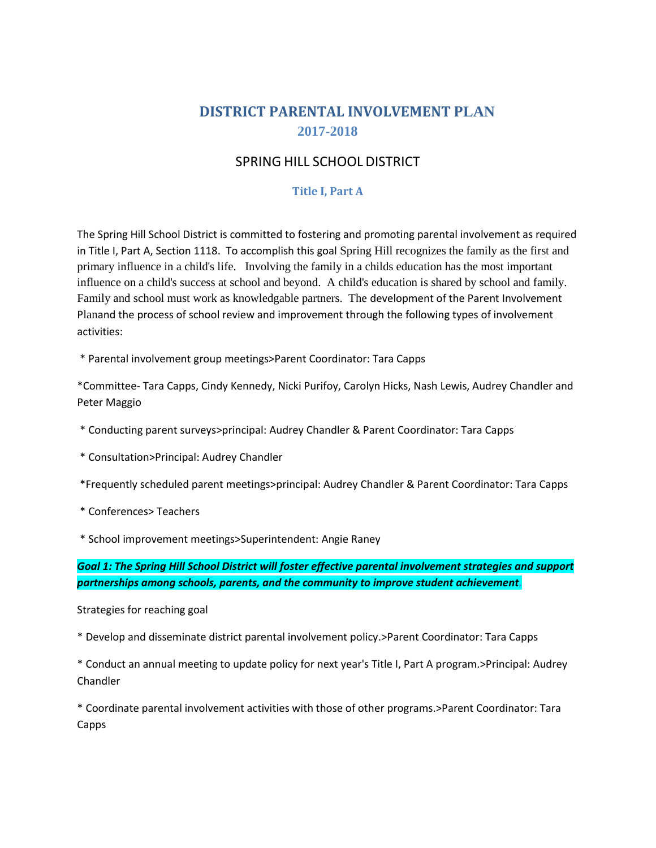# **DISTRICT PARENTAL INVOLVEMENT PLAN 2017-2018**

## SPRING HILL SCHOOL DISTRICT

### **Title I, Part A**

The Spring Hill School District is committed to fostering and promoting parental involvement as required in Title I, Part A, Section 1118. To accomplish this goal Spring Hill recognizes the family as the first and primary influence in a child's life. Involving the family in a childs education has the most important influence on a child's success at school and beyond. A child's education is shared by school and family. Family and school must work as knowledgable partners. The development of the Parent Involvement Planand the process of school review and improvement through the following types of involvement activities:

\* Parental involvement group meetings>Parent Coordinator: Tara Capps

\*Committee- Tara Capps, Cindy Kennedy, Nicki Purifoy, Carolyn Hicks, Nash Lewis, Audrey Chandler and Peter Maggio

- \* Conducting parent surveys>principal: Audrey Chandler & Parent Coordinator: Tara Capps
- \* Consultation>Principal: Audrey Chandler

\*Frequently scheduled parent meetings>principal: Audrey Chandler & Parent Coordinator: Tara Capps

\* Conferences> Teachers

\* School improvement meetings>Superintendent: Angie Raney

*Goal 1: The Spring Hill School District will foster effective parental involvement strategies and support partnerships among schools, parents, and the community to improve student achievement.*

#### Strategies for reaching goal

\* Develop and disseminate district parental involvement policy.>Parent Coordinator: Tara Capps

\* Conduct an annual meeting to update policy for next year's Title I, Part A program.>Principal: Audrey Chandler

\* Coordinate parental involvement activities with those of other programs.>Parent Coordinator: Tara Capps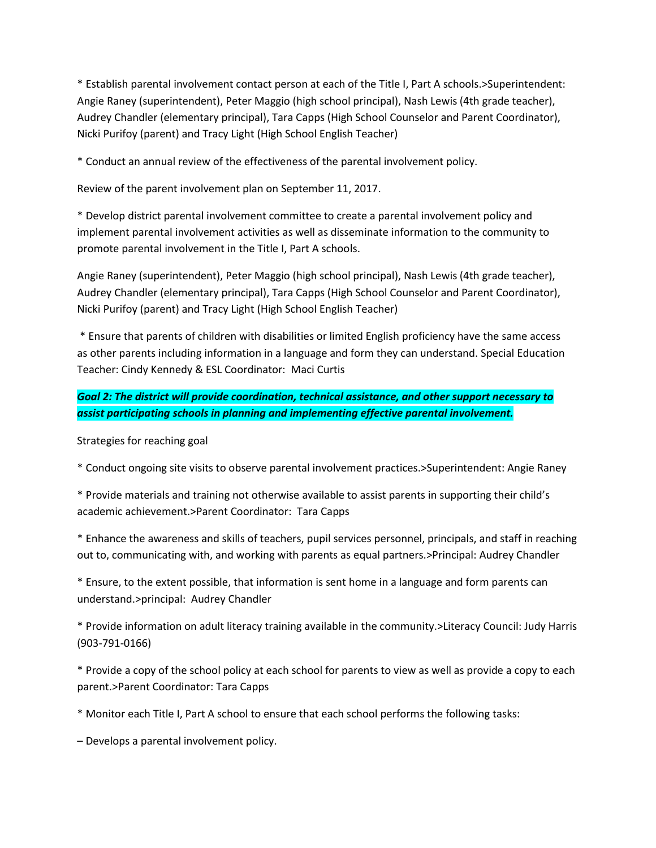\* Establish parental involvement contact person at each of the Title I, Part A schools.>Superintendent: Angie Raney (superintendent), Peter Maggio (high school principal), Nash Lewis (4th grade teacher), Audrey Chandler (elementary principal), Tara Capps (High School Counselor and Parent Coordinator), Nicki Purifoy (parent) and Tracy Light (High School English Teacher)

\* Conduct an annual review of the effectiveness of the parental involvement policy.

Review of the parent involvement plan on September 11, 2017.

\* Develop district parental involvement committee to create a parental involvement policy and implement parental involvement activities as well as disseminate information to the community to promote parental involvement in the Title I, Part A schools.

Angie Raney (superintendent), Peter Maggio (high school principal), Nash Lewis (4th grade teacher), Audrey Chandler (elementary principal), Tara Capps (High School Counselor and Parent Coordinator), Nicki Purifoy (parent) and Tracy Light (High School English Teacher)

\* Ensure that parents of children with disabilities or limited English proficiency have the same access as other parents including information in a language and form they can understand. Special Education Teacher: Cindy Kennedy & ESL Coordinator: Maci Curtis

*Goal 2: The district will provide coordination, technical assistance, and other support necessary to assist participating schools in planning and implementing effective parental involvement.*

Strategies for reaching goal

\* Conduct ongoing site visits to observe parental involvement practices.>Superintendent: Angie Raney

\* Provide materials and training not otherwise available to assist parents in supporting their child's academic achievement.>Parent Coordinator: Tara Capps

\* Enhance the awareness and skills of teachers, pupil services personnel, principals, and staff in reaching out to, communicating with, and working with parents as equal partners.>Principal: Audrey Chandler

\* Ensure, to the extent possible, that information is sent home in a language and form parents can understand.>principal: Audrey Chandler

\* Provide information on adult literacy training available in the community.>Literacy Council: Judy Harris (903-791-0166)

\* Provide a copy of the school policy at each school for parents to view as well as provide a copy to each parent.>Parent Coordinator: Tara Capps

\* Monitor each Title I, Part A school to ensure that each school performs the following tasks:

– Develops a parental involvement policy.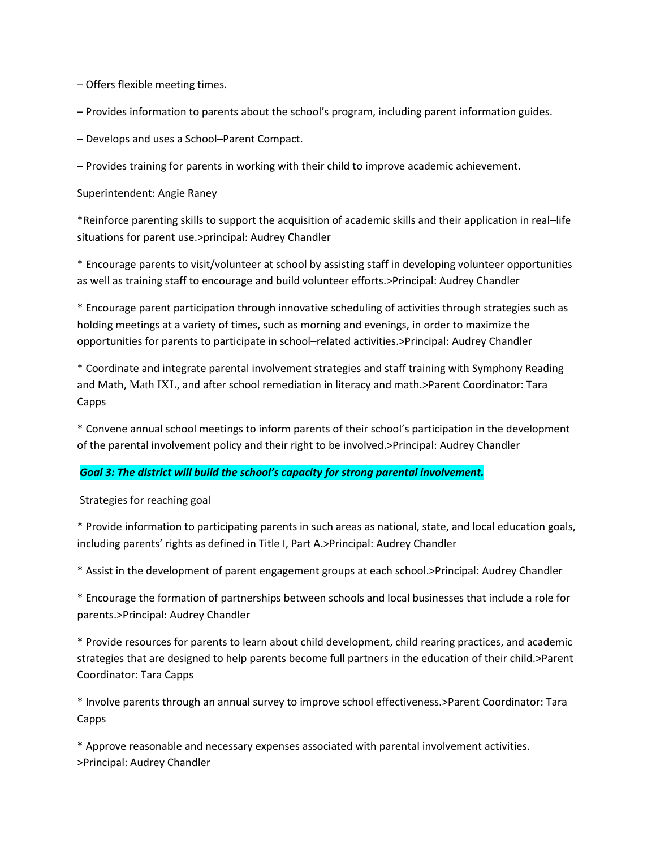– Offers flexible meeting times.

– Provides information to parents about the school's program, including parent information guides.

– Develops and uses a School–Parent Compact.

– Provides training for parents in working with their child to improve academic achievement.

Superintendent: Angie Raney

\*Reinforce parenting skills to support the acquisition of academic skills and their application in real–life situations for parent use.>principal: Audrey Chandler

\* Encourage parents to visit/volunteer at school by assisting staff in developing volunteer opportunities as well as training staff to encourage and build volunteer efforts.>Principal: Audrey Chandler

\* Encourage parent participation through innovative scheduling of activities through strategies such as holding meetings at a variety of times, such as morning and evenings, in order to maximize the opportunities for parents to participate in school–related activities.>Principal: Audrey Chandler

\* Coordinate and integrate parental involvement strategies and staff training with Symphony Reading and Math, Math IXL, and after school remediation in literacy and math.>Parent Coordinator: Tara Capps

\* Convene annual school meetings to inform parents of their school's participation in the development of the parental involvement policy and their right to be involved.>Principal: Audrey Chandler

### *Goal 3: The district will build the school's capacity for strong parental involvement.*

Strategies for reaching goal

\* Provide information to participating parents in such areas as national, state, and local education goals, including parents' rights as defined in Title I, Part A.>Principal: Audrey Chandler

\* Assist in the development of parent engagement groups at each school.>Principal: Audrey Chandler

\* Encourage the formation of partnerships between schools and local businesses that include a role for parents.>Principal: Audrey Chandler

\* Provide resources for parents to learn about child development, child rearing practices, and academic strategies that are designed to help parents become full partners in the education of their child.>Parent Coordinator: Tara Capps

\* Involve parents through an annual survey to improve school effectiveness.>Parent Coordinator: Tara Capps

\* Approve reasonable and necessary expenses associated with parental involvement activities. >Principal: Audrey Chandler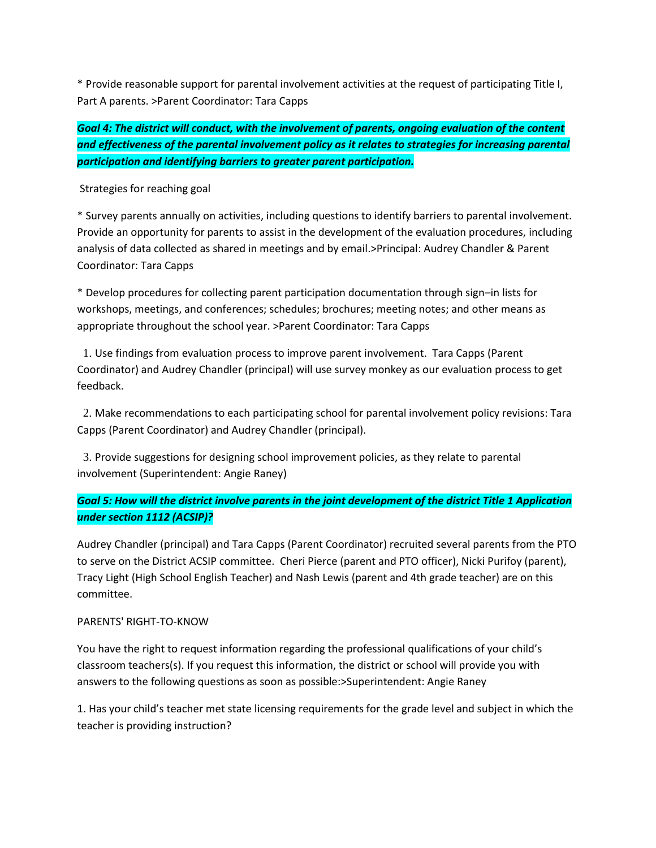\* Provide reasonable support for parental involvement activities at the request of participating Title I, Part A parents. >Parent Coordinator: Tara Capps

*Goal 4: The district will conduct, with the involvement of parents, ongoing evaluation of the content and effectiveness of the parental involvement policy as it relates to strategies for increasing parental participation and identifying barriers to greater parent participation.*

Strategies for reaching goal

\* Survey parents annually on activities, including questions to identify barriers to parental involvement. Provide an opportunity for parents to assist in the development of the evaluation procedures, including analysis of data collected as shared in meetings and by email.>Principal: Audrey Chandler & Parent Coordinator: Tara Capps

\* Develop procedures for collecting parent participation documentation through sign–in lists for workshops, meetings, and conferences; schedules; brochures; meeting notes; and other means as appropriate throughout the school year. >Parent Coordinator: Tara Capps

 1. Use findings from evaluation process to improve parent involvement. Tara Capps (Parent Coordinator) and Audrey Chandler (principal) will use survey monkey as our evaluation process to get feedback.

 2. Make recommendations to each participating school for parental involvement policy revisions: Tara Capps (Parent Coordinator) and Audrey Chandler (principal).

 3. Provide suggestions for designing school improvement policies, as they relate to parental involvement (Superintendent: Angie Raney)

## *Goal 5: How will the district involve parents in the joint development of the district Title 1 Application under section 1112 (ACSIP)?*

Audrey Chandler (principal) and Tara Capps (Parent Coordinator) recruited several parents from the PTO to serve on the District ACSIP committee. Cheri Pierce (parent and PTO officer), Nicki Purifoy (parent), Tracy Light (High School English Teacher) and Nash Lewis (parent and 4th grade teacher) are on this committee.

### PARENTS' RIGHT-TO-KNOW

You have the right to request information regarding the professional qualifications of your child's classroom teachers(s). If you request this information, the district or school will provide you with answers to the following questions as soon as possible:>Superintendent: Angie Raney

1. Has your child's teacher met state licensing requirements for the grade level and subject in which the teacher is providing instruction?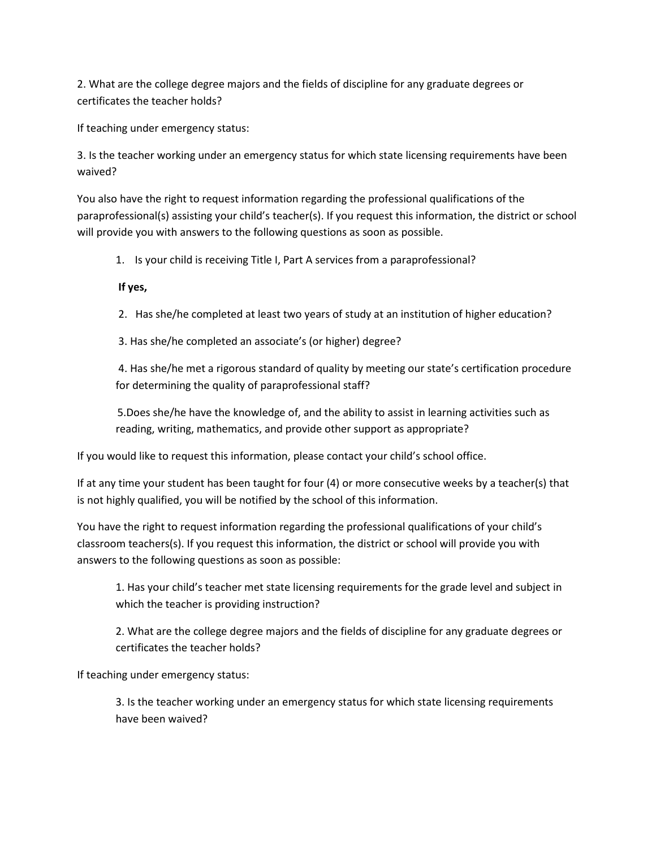2. What are the college degree majors and the fields of discipline for any graduate degrees or certificates the teacher holds?

If teaching under emergency status:

3. Is the teacher working under an emergency status for which state licensing requirements have been waived?

You also have the right to request information regarding the professional qualifications of the paraprofessional(s) assisting your child's teacher(s). If you request this information, the district or school will provide you with answers to the following questions as soon as possible.

1. Is your child is receiving Title I, Part A services from a paraprofessional?

### **If yes,**

2. Has she/he completed at least two years of study at an institution of higher education?

3. Has she/he completed an associate's (or higher) degree?

4. Has she/he met a rigorous standard of quality by meeting our state's certification procedure for determining the quality of paraprofessional staff?

5.Does she/he have the knowledge of, and the ability to assist in learning activities such as reading, writing, mathematics, and provide other support as appropriate?

If you would like to request this information, please contact your child's school office.

If at any time your student has been taught for four (4) or more consecutive weeks by a teacher(s) that is not highly qualified, you will be notified by the school of this information.

You have the right to request information regarding the professional qualifications of your child's classroom teachers(s). If you request this information, the district or school will provide you with answers to the following questions as soon as possible:

1. Has your child's teacher met state licensing requirements for the grade level and subject in which the teacher is providing instruction?

2. What are the college degree majors and the fields of discipline for any graduate degrees or certificates the teacher holds?

If teaching under emergency status:

3. Is the teacher working under an emergency status for which state licensing requirements have been waived?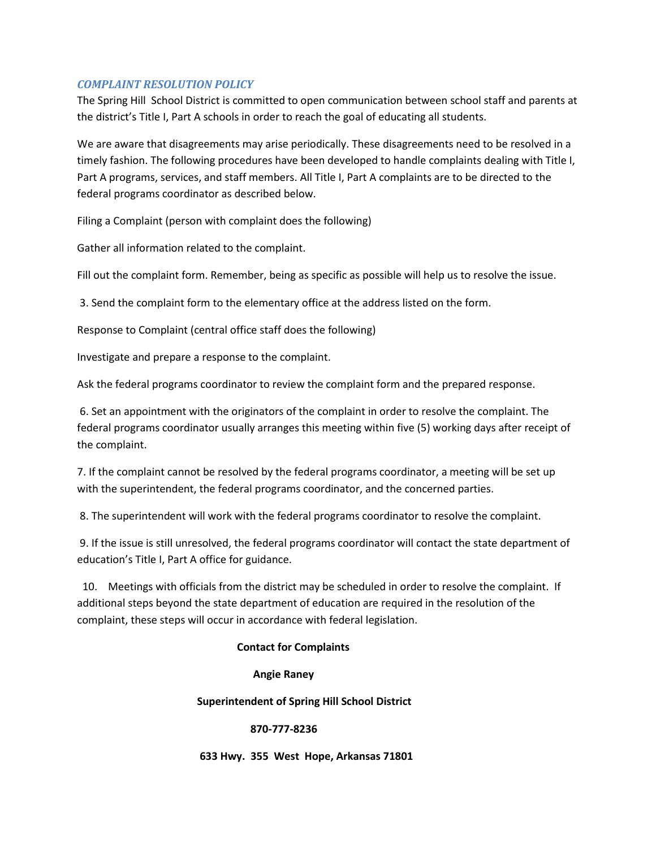#### *COMPLAINT RESOLUTION POLICY*

The Spring Hill School District is committed to open communication between school staff and parents at the district's Title I, Part A schools in order to reach the goal of educating all students.

We are aware that disagreements may arise periodically. These disagreements need to be resolved in a timely fashion. The following procedures have been developed to handle complaints dealing with Title I, Part A programs, services, and staff members. All Title I, Part A complaints are to be directed to the federal programs coordinator as described below.

Filing a Complaint (person with complaint does the following)

Gather all information related to the complaint.

Fill out the complaint form. Remember, being as specific as possible will help us to resolve the issue.

3. Send the complaint form to the elementary office at the address listed on the form.

Response to Complaint (central office staff does the following)

Investigate and prepare a response to the complaint.

Ask the federal programs coordinator to review the complaint form and the prepared response.

6. Set an appointment with the originators of the complaint in order to resolve the complaint. The federal programs coordinator usually arranges this meeting within five (5) working days after receipt of the complaint.

7. If the complaint cannot be resolved by the federal programs coordinator, a meeting will be set up with the superintendent, the federal programs coordinator, and the concerned parties.

8. The superintendent will work with the federal programs coordinator to resolve the complaint.

9. If the issue is still unresolved, the federal programs coordinator will contact the state department of education's Title I, Part A office for guidance.

 10. Meetings with officials from the district may be scheduled in order to resolve the complaint. If additional steps beyond the state department of education are required in the resolution of the complaint, these steps will occur in accordance with federal legislation.

### **Contact for Complaints**

#### **Angie Raney**

#### **Superintendent of Spring Hill School District**

#### **870-777-8236**

 **633 Hwy. 355 West Hope, Arkansas 71801**